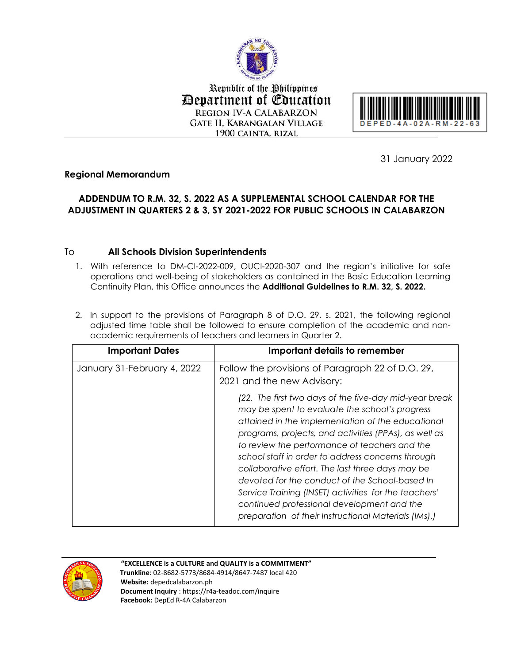

Republic of the Philippines **Department of Education REGION IV-A CALABARZON GATE II, KARANGALAN VILLAGE** 1900 CAINTA, RIZAL



31 January 2022

## **Regional Memorandum**

## **ADDENDUM TO R.M. 32, S. 2022 AS A SUPPLEMENTAL SCHOOL CALENDAR FOR THE ADJUSTMENT IN QUARTERS 2 & 3, SY 2021-2022 FOR PUBLIC SCHOOLS IN CALABARZON**

## To **All Schools Division Superintendents**

1. With reference to DM-CI-2022-009, OUCI-2020-307 and the region's initiative for safe operations and well-being of stakeholders as contained in the Basic Education Learning Continuity Plan, this Office announces the **Additional Guidelines to R.M. 32, S. 2022.** 

|                                                              | 2. In support to the provisions of Paragraph 8 of D.O. 29, s. 2021, the following regional |
|--------------------------------------------------------------|--------------------------------------------------------------------------------------------|
|                                                              | adjusted time table shall be followed to ensure completion of the academic and non-        |
| academic requirements of teachers and learners in Quarter 2. |                                                                                            |

| <b>Important Dates</b>      | Important details to remember                                                                                                                                                                                                                                                                                                                                                                                                                                                                                                                                                                     |
|-----------------------------|---------------------------------------------------------------------------------------------------------------------------------------------------------------------------------------------------------------------------------------------------------------------------------------------------------------------------------------------------------------------------------------------------------------------------------------------------------------------------------------------------------------------------------------------------------------------------------------------------|
| January 31-February 4, 2022 | Follow the provisions of Paragraph 22 of D.O. 29,<br>2021 and the new Advisory:                                                                                                                                                                                                                                                                                                                                                                                                                                                                                                                   |
|                             | (22. The first two days of the five-day mid-year break<br>may be spent to evaluate the school's progress<br>attained in the implementation of the educational<br>programs, projects, and activities (PPAs), as well as<br>to review the performance of teachers and the<br>school staff in order to address concerns through<br>collaborative effort. The last three days may be<br>devoted for the conduct of the School-based In<br>Service Training (INSET) activities for the teachers'<br>continued professional development and the<br>preparation of their Instructional Materials (IMs).) |



## **"EXCELLENCE is a CULTURE and QUALITY is a COMMITMENT"**

 **Trunkline**: 02-8682-5773/8684-4914/8647-7487 local 420 **Website:** depedcalabarzon.ph **Document Inquiry** : https://r4a-teadoc.com/inquire **Facebook:** DepEd R-4A Calabarzon